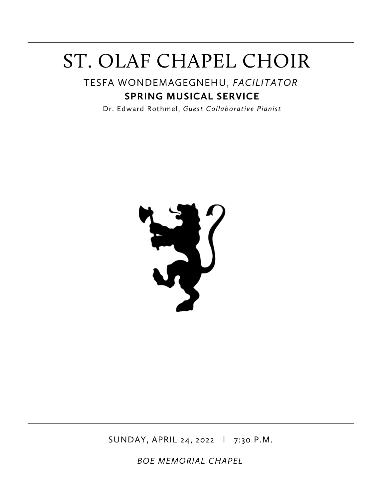# ST. OLAF CHAPEL CHOIR

TESFA WONDEMAGEGNEHU, *FACILITATOR*  **SPRING MUSICAL SERVICE**

Dr. Edward Rothmel, *Guest Collaborative Pianist*



SUNDAY, APRIL 24, 2022 l 7:30 P.M.

*BOE MEMORIAL CHAPEL*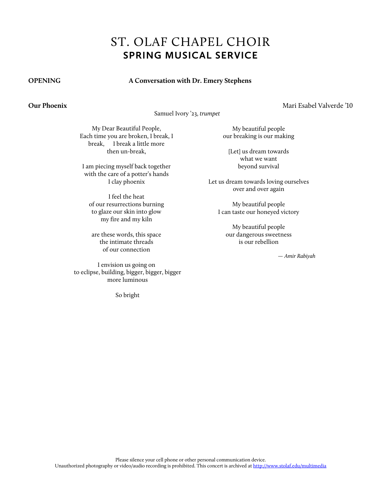## ST. OLAF CHAPEL CHOIR **SPRING MUSICAL SERVICE**

### **OPENING A Conversation with Dr. Emery Stephens**

Samuel Ivory '23, *trumpet*

**Our Phoenix** Mari Esabel Valverde '

My Dear Beautiful People, Each time you are broken, I break, I break, I break a little more then un-break,

I am piecing myself back together with the care of a potter's hands I clay phoenix

I feel the heat of our resurrections burning to glaze our skin into glow my fire and my kiln

are these words, this space the intimate threads of our connection

I envision us going on to eclipse, building, bigger, bigger, bigger more luminous

So bright

My beautiful people our breaking is our making

[Let] us dream towards what we want beyond survival

Let us dream towards loving ourselves over and over again

My beautiful people I can taste our honeyed victory

My beautiful people our dangerous sweetness is our rebellion

*— Amir Rabiyah*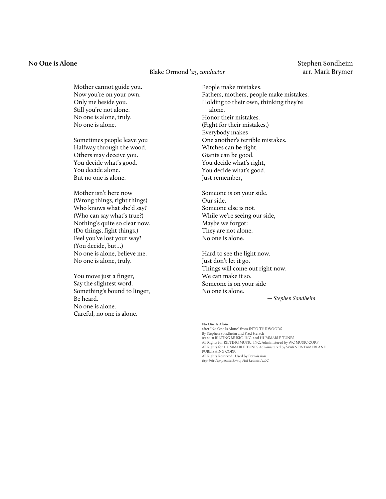#### Blake Ormond '23, *conductor* arr. Mark Brymer

## **No One is Alone** Stephen Sondheim and Stephen Sondheim and Stephen Sondheim and Stephen Sondheim and Stephen Sondheim

Mother cannot guide you. Now you're on your own. Only me beside you. Still you're not alone. No one is alone, truly. No one is alone.

Sometimes people leave you Halfway through the wood. Others may deceive you. You decide what's good. You decide alone. But no one is alone.

Mother isn't here now (Wrong things, right things) Who knows what she'd say? (Who can say what's true?) Nothing's quite so clear now. (Do things, fight things.) Feel you've lost your way? (You decide, but…) No one is alone, believe me. No one is alone, truly.

You move just a finger, Say the slightest word. Something's bound to linger, Be heard. No one is alone. Careful, no one is alone.

People make mistakes. Fathers, mothers, people make mistakes. Holding to their own, thinking they're alone. Honor their mistakes. (Fight for their mistakes,) Everybody makes One another's terrible mistakes. Witches can be right, Giants can be good. You decide what's right, You decide what's good. Just remember,

Someone is on your side. Our side. Someone else is not. While we're seeing our side, Maybe we forgot: They are not alone. No one is alone.

Hard to see the light now. Just don't let it go. Things will come out right now. We can make it so. Someone is on your side No one is alone.

*— Stephen Sondheim*

#### **No One Is Alone**

after "No One Is Alone" from INTO THE WOODS By Stephen Sondheim and Fred Hersch (c) 2010 RILTING MUSIC, INC. and HUMMABLE TUNES All Rights for RILTING MUSIC, INC. Administered by WC MUSIC CORP. All Rights for HUMMABLE TUNES Administered by WARNER-TAMERLANE PUBLISHING CORP. All Rights Reserved Used by Permission *Reprinted by permission of Hal Leonard LLC*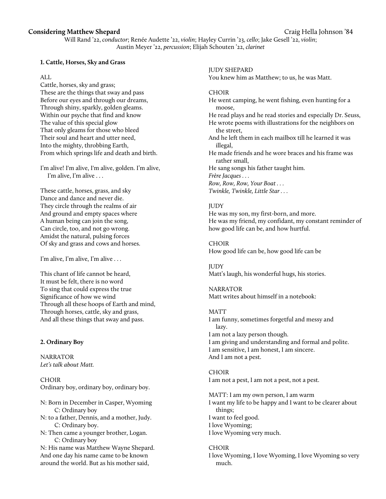### **Considering Matthew Shepard** Craig Hella Johnson '84

Will Rand '22, *conductor*; Renée Audette '22, *violin*; Hayley Currin '23, *cello*; Jake Gesell '22, *violin*; Austin Meyer '22, *percussion*; Elijah Schouten '22, *clarinet*

#### **. Cattle, Horses, Sky and Grass**

#### ALL

Cattle, horses, sky and grass; These are the things that sway and pass Before our eyes and through our dreams, Through shiny, sparkly, golden gleams. Within our psyche that find and know The value of this special glow That only gleams for those who bleed Their soul and heart and utter need, Into the mighty, throbbing Earth, From which springs life and death and birth.

I'm alive! I'm alive, I'm alive, golden. I'm alive, I'm alive, I'm alive . . .

These cattle, horses, grass, and sky Dance and dance and never die. They circle through the realms of air And ground and empty spaces where A human being can join the song, Can circle, too, and not go wrong. Amidst the natural, pulsing forces Of sky and grass and cows and horses.

I'm alive, I'm alive, I'm alive . . .

This chant of life cannot be heard, It must be felt, there is no word To sing that could express the true Significance of how we wind Through all these hoops of Earth and mind, Through horses, cattle, sky and grass, And all these things that sway and pass.

### **. Ordinary Boy**

NARRATOR *Let's talk about Matt.*

CHOIR Ordinary boy, ordinary boy, ordinary boy.

N: Born in December in Casper, Wyoming C: Ordinary boy N: to a father, Dennis, and a mother, Judy. C: Ordinary boy. N: Then came a younger brother, Logan. C: Ordinary boy N: His name was Matthew Wayne Shepard.

And one day his name came to be known around the world. But as his mother said, JUDY SHEPARD

You knew him as Matthew; to us, he was Matt.

#### CHOIR

He went camping, he went fishing, even hunting for a moose,

He read plays and he read stories and especially Dr. Seuss, He wrote poems with illustrations for the neighbors on the street,

And he left them in each mailbox till he learned it was illegal,

He made friends and he wore braces and his frame was rather small,

He sang songs his father taught him. *Frère Jacques . . . Row, Row, Row, Your Boat . . . Twinkle, Twinkle, Little Star . . .*

### **IUDY**

He was my son, my first-born, and more. He was my friend, my confidant, my constant reminder of how good life can be, and how hurtful.

CHOIR How good life can be, how good life can be

**IUDY** 

Matt's laugh, his wonderful hugs, his stories.

NARRATOR Matt writes about himself in a notebook:

#### **MATT**

I am funny, sometimes forgetful and messy and lazy. I am not a lazy person though. I am giving and understanding and formal and polite. I am sensitive, I am honest, I am sincere. And I am not a pest.

#### CHOIR

I am not a pest, I am not a pest, not a pest.

MATT: I am my own person, I am warm I want my life to be happy and I want to be clearer about things; I want to feel good. I love Wyoming; I love Wyoming very much.

CHOIR

I love Wyoming, I love Wyoming, I love Wyoming so very much.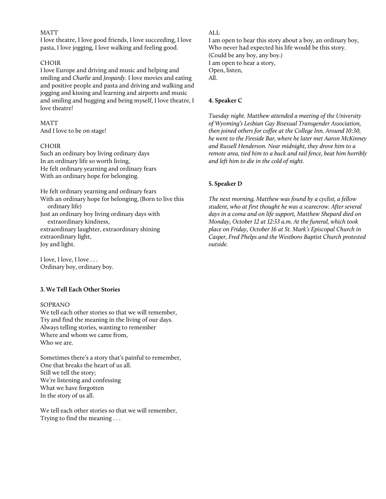#### **MATT**

I love theatre, I love good friends, I love succeeding, I love pasta, I love jogging, I love walking and feeling good.

### CHOIR

I love Europe and driving and music and helping and smiling and *Charlie* and *Jeopardy*. I love movies and eating and positive people and pasta and driving and walking and jogging and kissing and learning and airports and music and smiling and hugging and being myself, I love theatre, I love theatre!

MATT And I love to be on stage!

### CHOIR

Such an ordinary boy living ordinary days In an ordinary life so worth living, He felt ordinary yearning and ordinary fears With an ordinary hope for belonging.

He felt ordinary yearning and ordinary fears With an ordinary hope for belonging, (Born to live this ordinary life) Just an ordinary boy living ordinary days with extraordinary kindness, extraordinary laughter, extraordinary shining extraordinary light, Joy and light.

I love, I love, I love . . . Ordinary boy, ordinary boy.

#### **. We Tell Each Other Stories**

#### SOPRANO

We tell each other stories so that we will remember, Try and find the meaning in the living of our days. Always telling stories, wanting to remember Where and whom we came from, Who we are.

Sometimes there's a story that's painful to remember, One that breaks the heart of us all. Still we tell the story; We're listening and confessing What we have forgotten In the story of us all.

We tell each other stories so that we will remember, Trying to find the meaning . . .

### ALL

I am open to hear this story about a boy, an ordinary boy, Who never had expected his life would be this story. (Could be any boy, any boy.) I am open to hear a story, Open, listen, All.

### **. Speaker C**

*Tuesday night. Matthew attended a meeting of the University of Wyoming's Lesbian Gay Bisexual Transgender Association, then joined others for coffee at the College Inn. Around 10:30, he went to the Fireside Bar, where he later met Aaron McKinney and Russell Henderson. Near midnight, they drove him to a remote area, tied him to a buck and rail fence, beat him horribly and left him to die in the cold of night.*

### **. Speaker D**

*The next morning, Matthew was found by a cyclist, a fellow student, who at first thought he was a scarecrow. After several days in a coma and on life support, Matthew Shepard died on Monday, October 12 at 12:53 a.m. At the funeral, which took place on Friday, October at St. Mark's Episcopal Church in Casper, Fred Phelps and the Westboro Baptist Church protested outside.*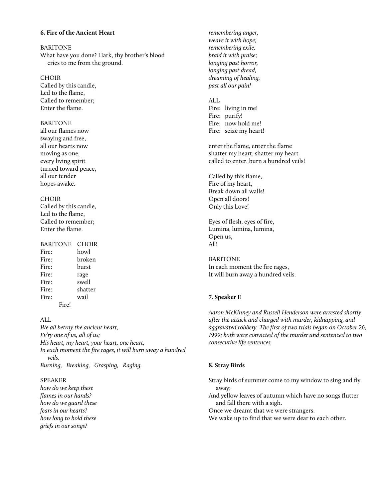#### **. Fire of the Ancient Heart**

**BARITONE** 

What have you done? Hark, thy brother's blood cries to me from the ground.

CHOIR

Called by this candle, Led to the flame, Called to remember; Enter the flame.

### BARITONE

all our flames now swaying and free, all our hearts now moving as one, every living spirit turned toward peace, all our tender hopes awake.

#### CHOIR

Called by this candle, Led to the flame, Called to remember; Enter the flame.

#### BARITONE CHOIR

Fire: howl Fire: broken Fire: burst Fire: rage Fire: swell Fire: shatter Fire: wail Fire!

#### ALL

*We all betray the ancient heart, Ev'ry one of us, all of us; His heart, my heart, your heart, one heart, In each moment the fire rages, it will burn away a hundred veils. Burning, Breaking, Grasping, Raging.*

#### SPEAKER

*how do we keep these flames in our hands? how do we guard these fears in our hearts? how long to hold these griefs in our songs?*

*remembering anger, weave it with hope; remembering exile, braid it with praise; longing past horror, longing past dread, dreaming of healing, past all our pain!*

ALL Fire: living in me! Fire: purify! Fire: now hold me! Fire: seize my heart!

enter the flame, enter the flame shatter my heart, shatter my heart called to enter, burn a hundred veils!

Called by this flame, Fire of my heart, Break down all walls! Open all doors! Only this Love!

Eyes of flesh, eyes of fire, Lumina, lumina, lumina, Open us, All!

BARITONE In each moment the fire rages, It will burn away a hundred veils.

#### **. Speaker E**

*Aaron McKinney and Russell Henderson were arrested shortly after the attack and charged with murder, kidnapping, and aggravated robbery. The first of two trials began on October 26, ; both were convicted of the murder and sentenced to two consecutive life sentences.*

#### **. Stray Birds**

Stray birds of summer come to my window to sing and fly away;

And yellow leaves of autumn which have no songs flutter and fall there with a sigh.

Once we dreamt that we were strangers.

We wake up to find that we were dear to each other.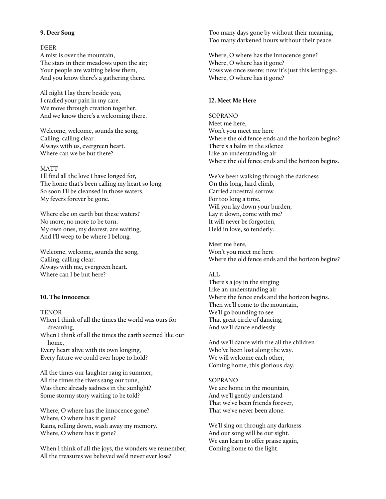#### **. Deer Song**

#### DEER

A mist is over the mountain, The stars in their meadows upon the air; Your people are waiting below them, And you know there's a gathering there.

All night I lay there beside you, I cradled your pain in my care. We move through creation together, And we know there's a welcoming there.

Welcome, welcome, sounds the song, Calling, calling clear. Always with us, evergreen heart. Where can we be but there?

#### **MATT**

I'll find all the love I have longed for, The home that's been calling my heart so long. So soon I'll be cleansed in those waters, My fevers forever be gone.

Where else on earth but these waters? No more, no more to be torn. My own ones, my dearest, are waiting, And I'll weep to be where I belong.

Welcome, welcome, sounds the song, Calling, calling clear. Always with me, evergreen heart. Where can I be but here?

#### **. The Innocence**

#### **TENOR**

When I think of all the times the world was ours for dreaming,

When I think of all the times the earth seemed like our home,

Every heart alive with its own longing, Every future we could ever hope to hold?

All the times our laughter rang in summer, All the times the rivers sang our tune, Was there already sadness in the sunlight? Some stormy story waiting to be told?

Where, O where has the innocence gone? Where, O where has it gone? Rains, rolling down, wash away my memory. Where, O where has it gone?

When I think of all the joys, the wonders we remember, All the treasures we believed we'd never ever lose?

Too many days gone by without their meaning, Too many darkened hours without their peace.

Where, O where has the innocence gone? Where, O where has it gone? Vows we once swore; now it's just this letting go. Where, O where has it gone?

### **. Meet Me Here**

SOPRANO Meet me here, Won't you meet me here Where the old fence ends and the horizon begins? There's a balm in the silence Like an understanding air Where the old fence ends and the horizon begins.

We've been walking through the darkness On this long, hard climb, Carried ancestral sorrow For too long a time. Will you lay down your burden, Lay it down, come with me? It will never be forgotten, Held in love, so tenderly.

Meet me here, Won't you meet me here Where the old fence ends and the horizon begins?

#### ALL

There's a joy in the singing Like an understanding air Where the fence ends and the horizon begins. Then we'll come to the mountain, We'll go bounding to see That great circle of dancing, And we'll dance endlessly.

And we'll dance with the all the children Who've been lost along the way. We will welcome each other, Coming home, this glorious day.

SOPRANO We are home in the mountain, And we'll gently understand That we've been friends forever, That we've never been alone.

We'll sing on through any darkness And our song will be our sight. We can learn to offer praise again, Coming home to the light.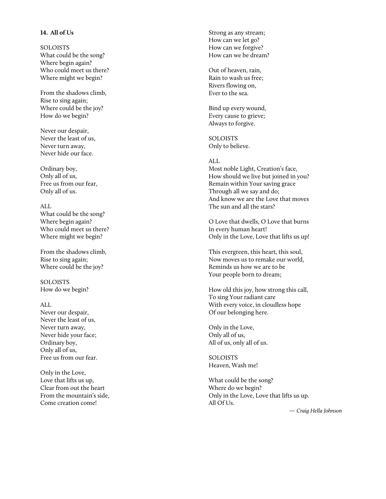#### **. All of Us**

SOLOISTS What could be the song? Where begin again? Who could meet us there? Where might we begin?

From the shadows climb, Rise to sing again; Where could be the joy? How do we begin?

Never our despair, Never the least of us, Never turn away, Never hide our face .

Ordinary boy, Only all of us, Free us from our fear, Only all of us.

ALL What could be the song? Where begin again? Who could meet us there? Where might we begin?

From the shadows climb, Rise to sing again; Where could be the joy?

SOLOISTS How do we begin?

ALL Never our despair, Never the least of us, Never turn away, Never hide your face; Ordinary boy, Only all of us, Free us from our fear.

Only in the Love, Love that lifts us up, Clear from out the heart From the mountain's side, Come creation come !

Strong as any stream; How can we let go? How can we forgive? How can we be dream?

Out of heaven, rain, Rain to wash us free; Rivers flowing on, Ever to the sea .

Bind up every wound, Ev ery cause to grieve; Always to forgive .

SOLOISTS Only to believe.

ALL Most noble Light, Creation's face, How should we live but joined in you ? Remain within Your saving grace Through all we say and do ; And know we are the Love that moves The sun and all the stars?

O Love that dwells, O Love that burns In every human heart ! Only in the Love, Love that lifts us up!

This evergreen, this heart, this soul, Now moves us to remake our world, Reminds us how we are to be Your people born to dream;

How old this joy, how strong this call, To sing Your radiant care With every voice, in cloudless hope Of our belonging here.

Only in the Love , Only all of us , All of us, only all of us.

SOLOISTS Heaven, Wash me!

What could be the song? Where do we begin? Only in the Love, Love that lifts us up. All Of Us.

*— Craig Hella Johnson*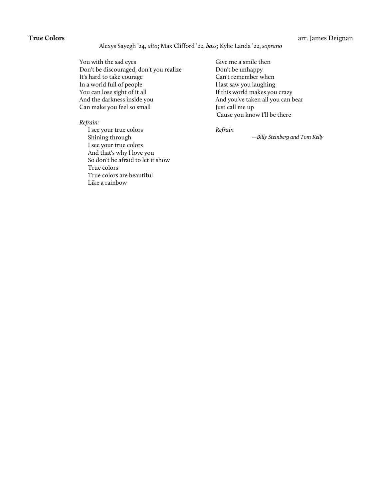#### Alexys Sayegh '24, *alto*; Max Clifford '22, *bass*; Kylie Landa '22, *soprano*

You with the sad eyes Don't be discouraged, don't you realize It's hard to take courage In a world full of people You can lose sight of it all And the darkness inside you Can make you feel so small

#### *Refrain:*

I see your true colors Shining through I see your true colors And that's why I love you So don't be afraid to let it show True colors True colors are beautiful Like a rainbow

Give me a smile then Don't be unhappy Can't remember when I last saw you laughing If this world makes you crazy And you've taken all you can bear Just call me up 'Cause you know I'll be there

#### *Refrain*

*—Billy Steinberg and Tom Kelly*